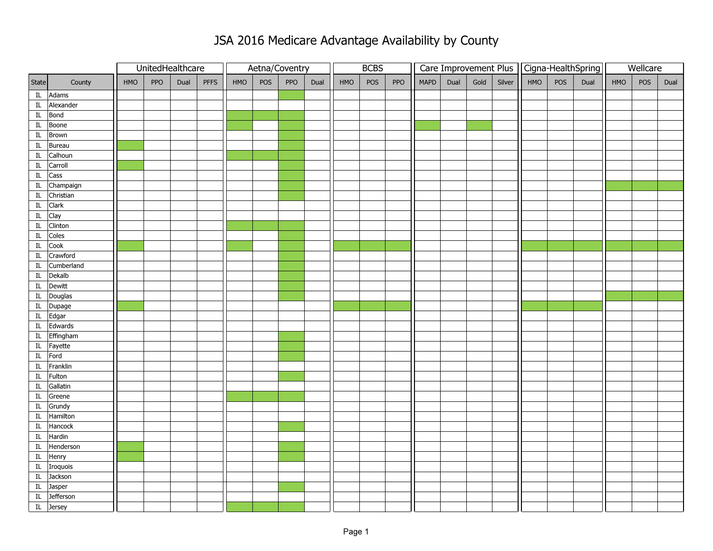## JSA 2016 Medicare Advantage Availability by County

|                            |                       |     |     | UnitedHealthcare |             |     |     | Aetna/Coventry |      | <b>BCBS</b> |     |     | Care Improvement Plus   Cigna-HealthSpring |      |      |        |     |     |      | Wellcare |     |      |
|----------------------------|-----------------------|-----|-----|------------------|-------------|-----|-----|----------------|------|-------------|-----|-----|--------------------------------------------|------|------|--------|-----|-----|------|----------|-----|------|
| State                      | County                | HMO | PPO | Dual             | <b>PFFS</b> | HMO | POS | PPO            | Dual | HMO         | POS | PPO | <b>MAPD</b>                                | Dual | Gold | Silver | HMO | POS | Dual | HMO      | POS | Dual |
|                            | IL Adams              |     |     |                  |             |     |     |                |      |             |     |     |                                            |      |      |        |     |     |      |          |     |      |
|                            | IL Alexander          |     |     |                  |             |     |     |                |      |             |     |     |                                            |      |      |        |     |     |      |          |     |      |
|                            | IL Bond               |     |     |                  |             |     |     |                |      |             |     |     |                                            |      |      |        |     |     |      |          |     |      |
| $\overline{\mathbb{I}}$    | Boone                 |     |     |                  |             |     |     |                |      |             |     |     |                                            |      |      |        |     |     |      |          |     |      |
|                            | $\overline{IL}$ Brown |     |     |                  |             |     |     |                |      |             |     |     |                                            |      |      |        |     |     |      |          |     |      |
| $\mathop{\rm IL}\nolimits$ | Bureau                |     |     |                  |             |     |     |                |      |             |     |     |                                            |      |      |        |     |     |      |          |     |      |
| $\overline{\mathbb{I}}$    | Calhoun               |     |     |                  |             |     |     |                |      |             |     |     |                                            |      |      |        |     |     |      |          |     |      |
| $\rm IL$                   | Carroll               |     |     |                  |             |     |     |                |      |             |     |     |                                            |      |      |        |     |     |      |          |     |      |
| $\mathop{\rm IL}\nolimits$ | Cass                  |     |     |                  |             |     |     |                |      |             |     |     |                                            |      |      |        |     |     |      |          |     |      |
| $\mathop{\rm IL}\nolimits$ | Champaign             |     |     |                  |             |     |     |                |      |             |     |     |                                            |      |      |        |     |     |      |          |     |      |
|                            | IL Christian          |     |     |                  |             |     |     |                |      |             |     |     |                                            |      |      |        |     |     |      |          |     |      |
|                            | IL Clark              |     |     |                  |             |     |     |                |      |             |     |     |                                            |      |      |        |     |     |      |          |     |      |
| $\rm IL$                   | Clay                  |     |     |                  |             |     |     |                |      |             |     |     |                                            |      |      |        |     |     |      |          |     |      |
| $\rm IL$                   | Clinton               |     |     |                  |             |     |     |                |      |             |     |     |                                            |      |      |        |     |     |      |          |     |      |
| $\rm IL$                   | Coles                 |     |     |                  |             |     |     |                |      |             |     |     |                                            |      |      |        |     |     |      |          |     |      |
| $\overline{\mathbb{I}}$    | Cook                  |     |     |                  |             |     |     |                |      |             |     |     |                                            |      |      |        |     |     |      |          |     |      |
| IL                         | Crawford              |     |     |                  |             |     |     |                |      |             |     |     |                                            |      |      |        |     |     |      |          |     |      |
| $\mathop{\rm IL}\nolimits$ | Cumberland            |     |     |                  |             |     |     |                |      |             |     |     |                                            |      |      |        |     |     |      |          |     |      |
| $\mathop{\rm IL}\nolimits$ | Dekalb                |     |     |                  |             |     |     |                |      |             |     |     |                                            |      |      |        |     |     |      |          |     |      |
|                            | IL Dewitt             |     |     |                  |             |     |     |                |      |             |     |     |                                            |      |      |        |     |     |      |          |     |      |
|                            | IL Douglas            |     |     |                  |             |     |     |                |      |             |     |     |                                            |      |      |        |     |     |      |          |     |      |
|                            | IL Dupage             |     |     |                  |             |     |     |                |      |             |     |     |                                            |      |      |        |     |     |      |          |     |      |
|                            | IL Edgar              |     |     |                  |             |     |     |                |      |             |     |     |                                            |      |      |        |     |     |      |          |     |      |
|                            | IL Edwards            |     |     |                  |             |     |     |                |      |             |     |     |                                            |      |      |        |     |     |      |          |     |      |
|                            | IL Effingham          |     |     |                  |             |     |     |                |      |             |     |     |                                            |      |      |        |     |     |      |          |     |      |
|                            | IL Fayette            |     |     |                  |             |     |     |                |      |             |     |     |                                            |      |      |        |     |     |      |          |     |      |
|                            | IL Ford               |     |     |                  |             |     |     |                |      |             |     |     |                                            |      |      |        |     |     |      |          |     |      |
|                            | IL Franklin           |     |     |                  |             |     |     |                |      |             |     |     |                                            |      |      |        |     |     |      |          |     |      |
|                            | IL Fulton             |     |     |                  |             |     |     |                |      |             |     |     |                                            |      |      |        |     |     |      |          |     |      |
| $\rm IL$                   | Gallatin              |     |     |                  |             |     |     |                |      |             |     |     |                                            |      |      |        |     |     |      |          |     |      |
| $\rm IL$                   | Greene                |     |     |                  |             |     |     |                |      |             |     |     |                                            |      |      |        |     |     |      |          |     |      |
|                            | IL Grundy             |     |     |                  |             |     |     |                |      |             |     |     |                                            |      |      |        |     |     |      |          |     |      |
|                            | IL Hamilton           |     |     |                  |             |     |     |                |      |             |     |     |                                            |      |      |        |     |     |      |          |     |      |
| $\overline{\text{IL}}$     | Hancock               |     |     |                  |             |     |     |                |      |             |     |     |                                            |      |      |        |     |     |      |          |     |      |
|                            | IL Hardin             |     |     |                  |             |     |     |                |      |             |     |     |                                            |      |      |        |     |     |      |          |     |      |
|                            | IL Henderson          |     |     |                  |             |     |     |                |      |             |     |     |                                            |      |      |        |     |     |      |          |     |      |
|                            | $\overline{I}L$ Henry |     |     |                  |             |     |     |                |      |             |     |     |                                            |      |      |        |     |     |      |          |     |      |
|                            | IL Iroquois           |     |     |                  |             |     |     |                |      |             |     |     |                                            |      |      |        |     |     |      |          |     |      |
|                            | IL Jackson            |     |     |                  |             |     |     |                |      |             |     |     |                                            |      |      |        |     |     |      |          |     |      |
|                            | IL Jasper             |     |     |                  |             |     |     |                |      |             |     |     |                                            |      |      |        |     |     |      |          |     |      |
| $\mathop{\rm IL}\nolimits$ | Jefferson             |     |     |                  |             |     |     |                |      |             |     |     |                                            |      |      |        |     |     |      |          |     |      |
|                            | IL Jersey             |     |     |                  |             |     |     |                |      |             |     |     |                                            |      |      |        |     |     |      |          |     |      |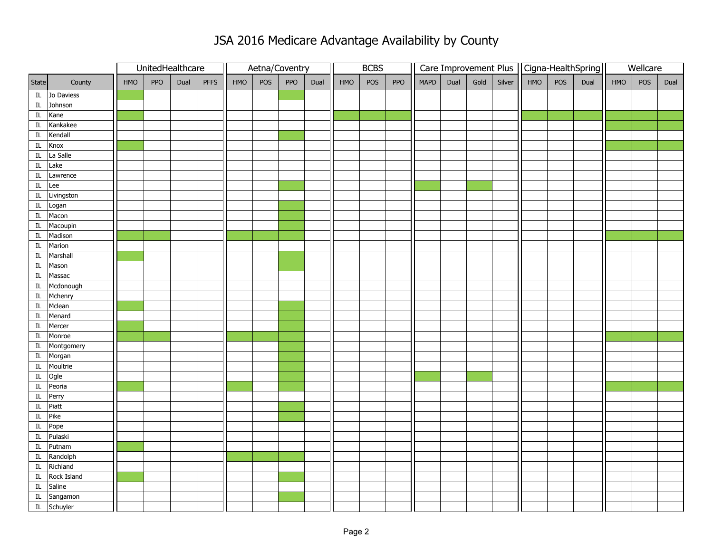## JSA 2016 Medicare Advantage Availability by County

|                            |               |     |     | UnitedHealthcare |             |     | Aetna/Coventry |     |      | <b>BCBS</b> |     |     |             |      |      |        | Care Improvement Plus   Cigna-HealthSpring |     |      | Wellcare |     |      |
|----------------------------|---------------|-----|-----|------------------|-------------|-----|----------------|-----|------|-------------|-----|-----|-------------|------|------|--------|--------------------------------------------|-----|------|----------|-----|------|
| State                      | County        | HMO | PPO | Dual             | <b>PFFS</b> | HMO | POS            | PPO | Dual | HMO         | POS | PPO | <b>MAPD</b> | Dual | Gold | Silver | HMO                                        | POS | Dual | HMO      | POS | Dual |
|                            | IL Jo Daviess |     |     |                  |             |     |                |     |      |             |     |     |             |      |      |        |                                            |     |      |          |     |      |
|                            | IL Johnson    |     |     |                  |             |     |                |     |      |             |     |     |             |      |      |        |                                            |     |      |          |     |      |
| $\mathop{\rm IL}\nolimits$ | Kane          |     |     |                  |             |     |                |     |      |             |     |     |             |      |      |        |                                            |     |      |          |     |      |
| $\overline{\rm{I} \rm{L}}$ | Kankakee      |     |     |                  |             |     |                |     |      |             |     |     |             |      |      |        |                                            |     |      |          |     |      |
| IL                         | Kendall       |     |     |                  |             |     |                |     |      |             |     |     |             |      |      |        |                                            |     |      |          |     |      |
| $\rm IL$                   | Knox          |     |     |                  |             |     |                |     |      |             |     |     |             |      |      |        |                                            |     |      |          |     |      |
| $\overline{\mathbb{L}}$    | La Salle      |     |     |                  |             |     |                |     |      |             |     |     |             |      |      |        |                                            |     |      |          |     |      |
| $\mathop{\rm IL}\nolimits$ | Lake          |     |     |                  |             |     |                |     |      |             |     |     |             |      |      |        |                                            |     |      |          |     |      |
| $\rm IL$                   | Lawrence      |     |     |                  |             |     |                |     |      |             |     |     |             |      |      |        |                                            |     |      |          |     |      |
| IL                         | Lee           |     |     |                  |             |     |                |     |      |             |     |     |             |      |      |        |                                            |     |      |          |     |      |
|                            | IL Livingston |     |     |                  |             |     |                |     |      |             |     |     |             |      |      |        |                                            |     |      |          |     |      |
| IL                         | Logan         |     |     |                  |             |     |                |     |      |             |     |     |             |      |      |        |                                            |     |      |          |     |      |
| $\overline{\mathbb{L}}$    | Macon         |     |     |                  |             |     |                |     |      |             |     |     |             |      |      |        |                                            |     |      |          |     |      |
| $\rm IL$                   | Macoupin      |     |     |                  |             |     |                |     |      |             |     |     |             |      |      |        |                                            |     |      |          |     |      |
| $\rm IL$                   | Madison       |     |     |                  |             |     |                |     |      |             |     |     |             |      |      |        |                                            |     |      |          |     |      |
| $\overline{\text{IL}}$     | Marion        |     |     |                  |             |     |                |     |      |             |     |     |             |      |      |        |                                            |     |      |          |     |      |
| $\mathop{\rm IL}\nolimits$ | Marshall      |     |     |                  |             |     |                |     |      |             |     |     |             |      |      |        |                                            |     |      |          |     |      |
| $\mathop{\rm IL}\nolimits$ | Mason         |     |     |                  |             |     |                |     |      |             |     |     |             |      |      |        |                                            |     |      |          |     |      |
| $\overline{\textrm{IL}}$   | Massac        |     |     |                  |             |     |                |     |      |             |     |     |             |      |      |        |                                            |     |      |          |     |      |
| $\mathop{\rm IL}\nolimits$ | Mcdonough     |     |     |                  |             |     |                |     |      |             |     |     |             |      |      |        |                                            |     |      |          |     |      |
| $\mathop{\rm IL}\nolimits$ | Mchenry       |     |     |                  |             |     |                |     |      |             |     |     |             |      |      |        |                                            |     |      |          |     |      |
| $\overline{\mathbb{L}}$    | Mclean        |     |     |                  |             |     |                |     |      |             |     |     |             |      |      |        |                                            |     |      |          |     |      |
| $\rm IL$                   | Menard        |     |     |                  |             |     |                |     |      |             |     |     |             |      |      |        |                                            |     |      |          |     |      |
| $\rm IL$                   | Mercer        |     |     |                  |             |     |                |     |      |             |     |     |             |      |      |        |                                            |     |      |          |     |      |
| $\overline{\mathbf{I}}$    | Monroe        |     |     |                  |             |     |                |     |      |             |     |     |             |      |      |        |                                            |     |      |          |     |      |
|                            | IL Montgomery |     |     |                  |             |     |                |     |      |             |     |     |             |      |      |        |                                            |     |      |          |     |      |
|                            | IL Morgan     |     |     |                  |             |     |                |     |      |             |     |     |             |      |      |        |                                            |     |      |          |     |      |
|                            | IL Moultrie   |     |     |                  |             |     |                |     |      |             |     |     |             |      |      |        |                                            |     |      |          |     |      |
|                            | IL Ogle       |     |     |                  |             |     |                |     |      |             |     |     |             |      |      |        |                                            |     |      |          |     |      |
| $\rm IL$                   | Peoria        |     |     |                  |             |     |                |     |      |             |     |     |             |      |      |        |                                            |     |      |          |     |      |
| $\overline{\text{IL}}$     | Perry         |     |     |                  |             |     |                |     |      |             |     |     |             |      |      |        |                                            |     |      |          |     |      |
| $\rm IL$                   | Piatt         |     |     |                  |             |     |                |     |      |             |     |     |             |      |      |        |                                            |     |      |          |     |      |
| $\mathbf{IL}$              | Pike          |     |     |                  |             |     |                |     |      |             |     |     |             |      |      |        |                                            |     |      |          |     |      |
| $\overline{\text{IL}}$     | Pope          |     |     |                  |             |     |                |     |      |             |     |     |             |      |      |        |                                            |     |      |          |     |      |
| $\mathop{\rm IL}\nolimits$ | Pulaski       |     |     |                  |             |     |                |     |      |             |     |     |             |      |      |        |                                            |     |      |          |     |      |
| $\overline{\rm{IL}}$       | Putnam        |     |     |                  |             |     |                |     |      |             |     |     |             |      |      |        |                                            |     |      |          |     |      |
|                            | IL Randolph   |     |     |                  |             |     |                |     |      |             |     |     |             |      |      |        |                                            |     |      |          |     |      |
|                            | IL Richland   |     |     |                  |             |     |                |     |      |             |     |     |             |      |      |        |                                            |     |      |          |     |      |
| $\rm IL$                   | Rock Island   |     |     |                  |             |     |                |     |      |             |     |     |             |      |      |        |                                            |     |      |          |     |      |
| IL                         | Saline        |     |     |                  |             |     |                |     |      |             |     |     |             |      |      |        |                                            |     |      |          |     |      |
|                            | IL Sangamon   |     |     |                  |             |     |                |     |      |             |     |     |             |      |      |        |                                            |     |      |          |     |      |
|                            | IL Schuyler   |     |     |                  |             |     |                |     |      |             |     |     |             |      |      |        |                                            |     |      |          |     |      |